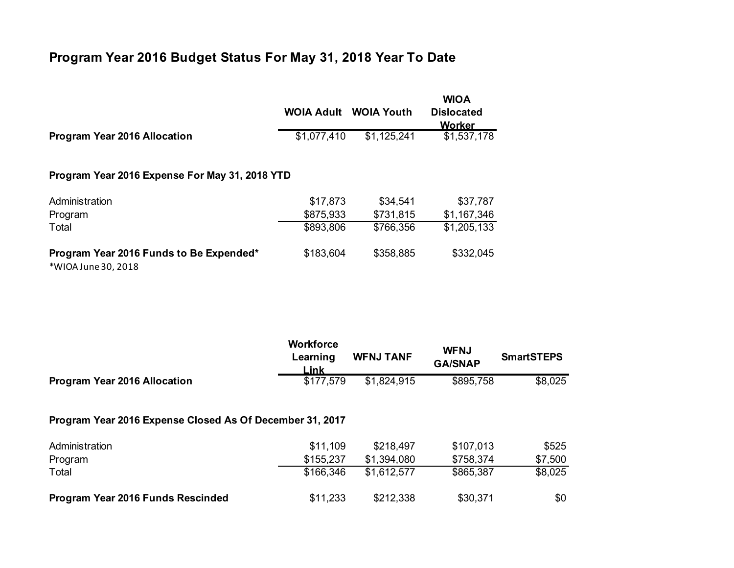## **Program Year 2016 Budget Status For May 31, 2018 Year To Date**

|                                                                | <b>WOIA Adult</b> | <b>WOIA Youth</b> | <b>WIOA</b><br><b>Dislocated</b><br><b>Worker</b> |  |  |  |  |
|----------------------------------------------------------------|-------------------|-------------------|---------------------------------------------------|--|--|--|--|
| <b>Program Year 2016 Allocation</b>                            | \$1,077,410       | \$1,125,241       | \$1,537,178                                       |  |  |  |  |
| Program Year 2016 Expense For May 31, 2018 YTD                 |                   |                   |                                                   |  |  |  |  |
| Administration                                                 | \$17,873          | \$34,541          | \$37,787                                          |  |  |  |  |
| Program                                                        | \$875,933         | \$731,815         | \$1,167,346                                       |  |  |  |  |
| Total                                                          | \$893,806         | \$766,356         | \$1,205,133                                       |  |  |  |  |
| Program Year 2016 Funds to Be Expended*<br>*WIOA June 30, 2018 | \$183,604         | \$358,885         | \$332,045                                         |  |  |  |  |

|                                                          | <b>Workforce</b><br>Learning<br>Link | <b>WFNJ TANF</b> | <b>WFNJ</b><br><b>GA/SNAP</b> | <b>SmartSTEPS</b> |  |  |  |
|----------------------------------------------------------|--------------------------------------|------------------|-------------------------------|-------------------|--|--|--|
| <b>Program Year 2016 Allocation</b>                      | \$177,579                            | \$1,824,915      | \$895,758                     | \$8,025           |  |  |  |
| Program Year 2016 Expense Closed As Of December 31, 2017 |                                      |                  |                               |                   |  |  |  |
| Administration                                           | \$11,109                             | \$218,497        | \$107,013                     | \$525             |  |  |  |
| Program                                                  | \$155,237                            | \$1,394,080      | \$758,374                     | \$7,500           |  |  |  |
| Total                                                    | \$166,346                            | \$1,612,577      | \$865,387                     | \$8,025           |  |  |  |
| Program Year 2016 Funds Rescinded                        | \$11,233                             | \$212,338        | \$30,371                      | \$0               |  |  |  |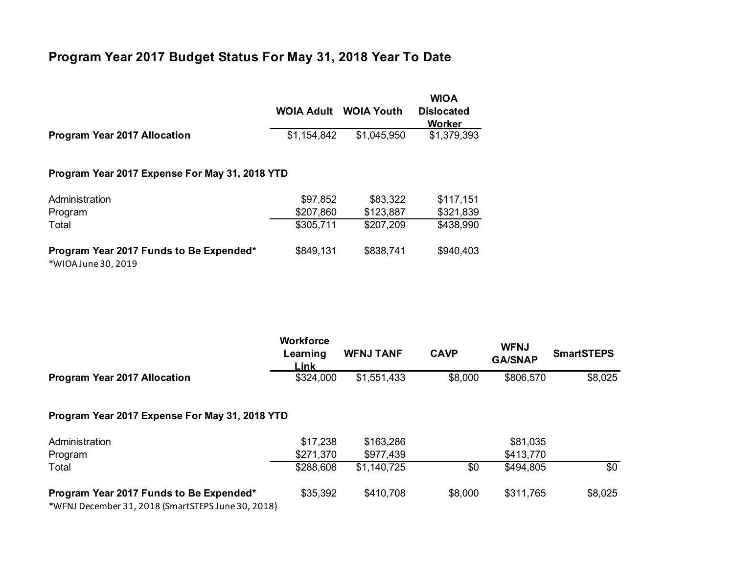## **Program Year 2017 Budget Status For May 31, 2018 Year To Date**

|                                                                | <b>WOIA Adult</b> | <b>WOIA Youth</b> | <b>WIOA</b><br><b>Dislocated</b><br><b>Worker</b> |  |  |  |
|----------------------------------------------------------------|-------------------|-------------------|---------------------------------------------------|--|--|--|
| <b>Program Year 2017 Allocation</b>                            | \$1,154,842       | \$1,045,950       | \$1,379,393                                       |  |  |  |
| Program Year 2017 Expense For May 31, 2018 YTD                 |                   |                   |                                                   |  |  |  |
| Administration                                                 | \$97,852          | \$83,322          | \$117,151                                         |  |  |  |
| Program                                                        | \$207,860         | \$123,887         | \$321,839                                         |  |  |  |
| Total                                                          | \$305,711         | \$207,209         | \$438,990                                         |  |  |  |
| Program Year 2017 Funds to Be Expended*<br>*WIOA June 30, 2019 | \$849,131         | \$838,741         | \$940,403                                         |  |  |  |

**Workforce Learning Link**<br>\$324,000 **WFNJ TANF CAVP WFNJ GA/SNAP SmartSTEPS Program Year 2017 Allocation**  $$324,000$   $$1,551,433$   $$8,000$   $$806,570$   $$8,025$ **Program Year 2017 Expense For May 31, 2018 YTD** Administration \$17,238 \$163,286 \$81,035 Program \$271,370 \$977,439 \$413,770 Total \$288,608 \$1,140,725 \$0 \$494,805 \$0 **Program Year 2017 Funds to Be Expended\*** \$35,392 \$410,708 \$8,000 \$311,765 \$8,025 \*WFNJ December 31, 2018 (SmartSTEPS June 30, 2018)